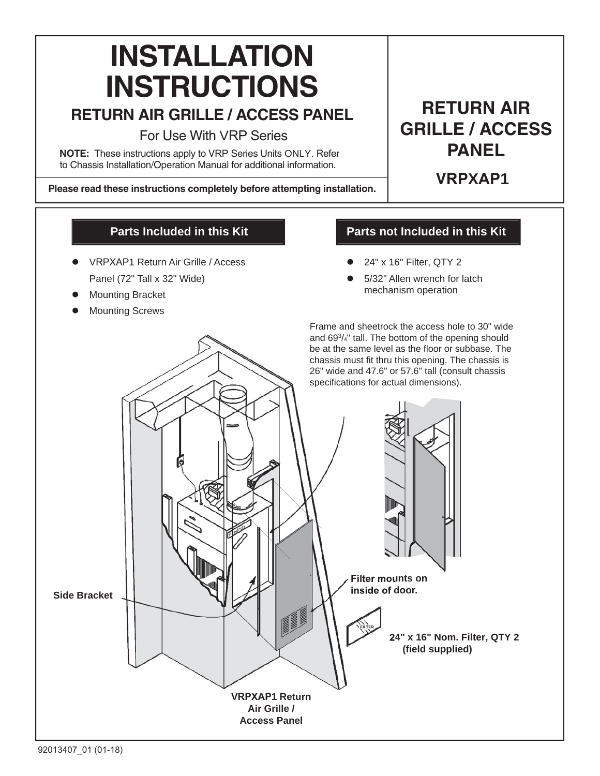# **INSTALLATION INSTRUCTIONS**

## **2 BETURN AIR GRILLE / ACCESS PANEL**

For Use With VRP Series

**NOTE:** These instructions apply to VRP Series Units ONLY. Refer to Chassis Installation/Operation Manual for additional information.

Please read these instructions completely before attempting installation.

## **22 AIR** GRILLE / ACCESS **PANEL**

**6R0XAP1**

#### **Parts Included in this Kit**

- z VRPXAP1 Return Air Grille / Access Panel (72" Tall x 32" Wide)
- **Mounting Bracket**
- **Mounting Screws**

### **Parts not Included in this Kit**

- z 24" x 16" Filter, QTY 2
- 5/32" Allen wrench for latch mechanism operation

Frame and sheetrock the access hole to 30" wide Frame and sheetrock the access hole to 30" wide and 553 /4" tall. The bottom of the opening should and 693/4" tall. The bottom of the opening should be at the same level as the floor or subbase. The chassis must fit thru this opening. The chassis is  $26"$  wide and  $47.6"$  or  $57.6"$  tall (consult chassis